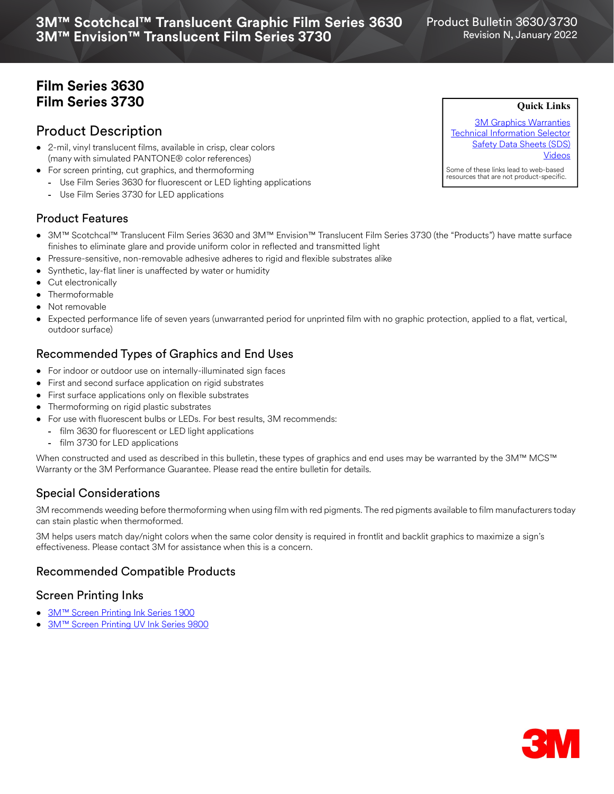# **Film Series 3630 Film Series 3730**

# Product Description

- 2-mil, vinyl translucent films, available in crisp, clear colors (many with simulated PANTONE® color references)
- For screen printing, cut graphics, and thermoforming
	- **-** Use Film Series 3630 for fluorescent or LED lighting applications
	- **-** Use Film Series 3730 for LED applications

### Product Features

- 3M™ Scotchcal™ Translucent Film Series 3630 and 3M™ Envision™ Translucent Film Series 3730 (the "Products") have matte surface finishes to eliminate glare and provide uniform color in reflected and transmitted light
- Pressure-sensitive, non-removable adhesive adheres to rigid and flexible substrates alike
- Synthetic, lay-flat liner is unaffected by water or humidity
- Cut electronically
- Thermoformable
- Not removable
- Expected performance life of seven years (unwarranted period for unprinted film with no graphic protection, applied to a flat, vertical, outdoor surface)

## Recommended Types of Graphics and End Uses

- For indoor or outdoor use on internally-illuminated sign faces
- First and second surface application on rigid substrates
- First surface applications only on flexible substrates
- Thermoforming on rigid plastic substrates
- For use with fluorescent bulbs or LEDs. For best results, 3M recommends:
	- **-** film 3630 for fluorescent or LED light applications
	- **-** film 3730 for LED applications

When constructed and used as described in this bulletin, these types of graphics and end uses may be warranted by the 3M™ MCS™ Warranty or the 3M Performance Guarantee. Please read the entire bulletin for details.

### Special Considerations

3M recommends weeding before thermoforming when using film with red pigments. The red pigments available to film manufacturers today can stain plastic when thermoformed.

3M helps users match day/night colors when the same color density is required in frontlit and backlit graphics to maximize a sign's effectiveness. Please contact 3M for assistance when this is a concern.

### Recommended Compatible Products

#### Screen Printing Inks

- [3M™ Screen Printing Ink Series 1900](http://multimedia.3m.com/mws/mediawebserver?6666660Zjcf6lVs6EVs666T6QCOrrrrQ-)
- [3M™ Screen Printing UV Ink Series 9800](http://multimedia.3m.com/mws/mediawebserver?6666660Zjcf6lVs6EVs66S17TCOrrrrQ-)

#### **Quick Links**

[3M Graphics Warranties](http://solutions.3m.com/wps/portal/3M/en_US/Graphics/3Mgraphics/ToolsandSupport/Warranties/?WT.mc_id=www.3mgraphics.com/warranties) [Technical Information Selector](http://solutions.3m.com/wps/portal/3M/en_US/Graphics/3Mgraphics/ToolsAndSupport/TechnicalInformation/) **[Safety Data Sheets \(SDS\)](http://solutions.3m.com/wps/portal/3M/en_WW/MSDS/Search?gsaAction=msdsSRA) [Videos](https://www.youtube.com/user/The3MGraphics)** 

Some of these links lead to web-based resources that are not product-specific.

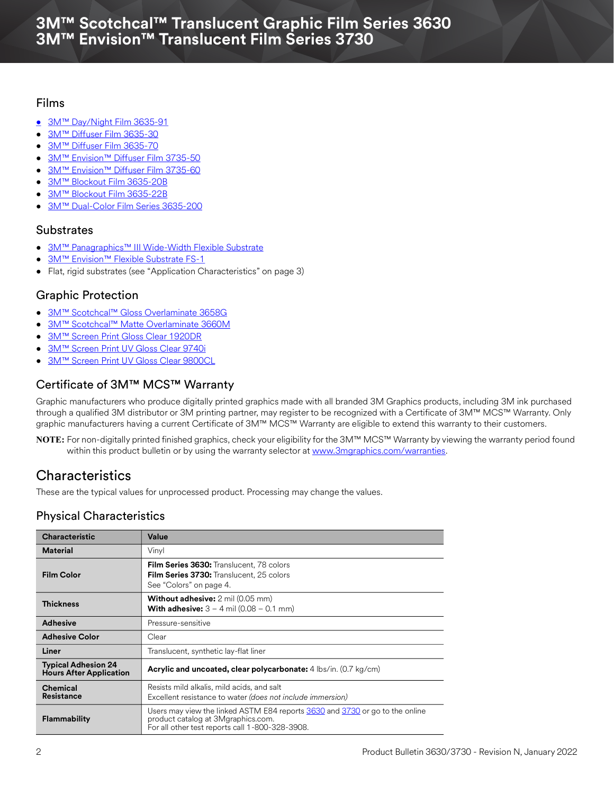#### Films

- [3M™ Day/Night Film 3635-91](http://multimedia.3m.com/mws/media/9495O/3m-blockout-film-3635-20b-3635-22b.pdf)
- [3M™ Diffuser Film 3635-30](http://multimedia.3m.com/mws/media/823536O/diffuser-films-3635-30-70-envision-diffuser-films-3735-50-60.pdf)
- [3M™ Diffuser Film 3635-70](http://multimedia.3m.com/mws/media/823536O/diffuser-films-3635-30-70-envision-diffuser-films-3735-50-60.pdf)
- [3M™ Envision™ Diffuser Film 3735-50](http://multimedia.3m.com/mws/media/823536O/diffuser-films-3635-30-70-envision-diffuser-films-3735-50-60.pdf)
- [3M™ Envision™ Diffuser Film 3735-60](http://multimedia.3m.com/mws/media/823536O/diffuser-films-3635-30-70-envision-diffuser-films-3735-50-60.pdf)
- [3M™ Blockout Film 3635-20B](http://multimedia.3m.com/mws/media/9495O/3635-day-night-light-control-blockout-diffusing-30-60-ec.pdf)
- [3M™ Blockout Film 3635-22B](http://multimedia.3m.com/mws/media/9495O/3635-day-night-light-control-blockout-diffusing-30-60-ec.pdf)
- [3M™ Dual-Color Film Series 3635-200](http://multimedia.3m.com/mws/media/138749O/3m-dual-color-film-series-3635-200.pdf)

### **Substrates**

- [3M™ Panagraphics™ III Wide-Width Flexible Substrate](http://multimedia.3m.com/mws/media/400976O/panagraphics-iii-wide-width-flexible-substrate.pdf)
- [3M™ Envision™ Flexible Substrate FS-1](http://multimedia.3m.com/mws/media/989830O/3mtm-envisiontm-flexible-substrate-fs-1-product-bulletin.pdf)
- Flat, rigid substrates (see "Application Characteristics" on page 3)

## Graphic Protection

- [3M™ Scotchcal™ Gloss Overlaminate 3658G](http://multimedia.3m.com/mws/media/1095382O/3m-scotchcal-gloss-overlaminate-3658g-matte-overlaminate-3660m.pdf)
- [3M™ Scotchcal™ Matte Overlaminate 3660M](http://multimedia.3m.com/mws/media/1095382O/3m-scotchcal-gloss-overlaminate-3658g-matte-overlaminate-3660m.pdf)
- [3M™ Screen Print Gloss Clear 1920DR](http://multimedia.3m.com/mws/media/12348O/1900-solvent-screen-print-ink-line-and-four-color-clears.pdf)
- [3M™ Screen Print UV Gloss Clear 9740i](http://multimedia.3m.com/mws/media/788729O/uv-clear-inkjet-and-screen-print.pdf)
- [3M™ Screen Print UV Gloss Clear 9800CL](http://multimedia.3m.com/mws/media/381379O/9800-uv-screen-print-ink-line-and-four-color-clears.pdf)

## Certificate of 3M™ MCS™ Warranty

Graphic manufacturers who produce digitally printed graphics made with all branded 3M Graphics products, including 3M ink purchased through a qualified 3M distributor or 3M printing partner, may register to be recognized with a Certificate of 3M™ MCS™ Warranty. Only graphic manufacturers having a current Certificate of 3M™ MCS™ Warranty are eligible to extend this warranty to their customers.

**NOTE:** For non-digitally printed finished graphics, check your eligibility for the 3M™ MCS™ Warranty by viewing the warranty period found within this product bulletin or by using the warranty selector at <www.3mgraphics.com/warranties>.

# **Characteristics**

These are the typical values for unprocessed product. Processing may change the values.

# Physical Characteristics

| <b>Characteristic</b>                                        | Value                                                                                                                                                                 |  |  |
|--------------------------------------------------------------|-----------------------------------------------------------------------------------------------------------------------------------------------------------------------|--|--|
| <b>Material</b>                                              | Vinyl                                                                                                                                                                 |  |  |
| <b>Film Color</b>                                            | <b>Film Series 3630: Translucent, 78 colors</b><br><b>Film Series 3730:</b> Translucent, 25 colors<br>See "Colors" on page 4.                                         |  |  |
| <b>Thickness</b>                                             | <b>Without adhesive:</b> 2 mil (0.05 mm)<br><b>With adhesive:</b> $3 - 4$ mil (0.08 – 0.1 mm)                                                                         |  |  |
| <b>Adhesive</b>                                              | Pressure-sensitive                                                                                                                                                    |  |  |
| <b>Adhesive Color</b>                                        | Clear                                                                                                                                                                 |  |  |
| Liner                                                        | Translucent, synthetic lay-flat liner                                                                                                                                 |  |  |
| <b>Typical Adhesion 24</b><br><b>Hours After Application</b> | <b>Acrylic and uncoated, clear polycarbonate:</b> 4 lbs/in. (0.7 kg/cm)                                                                                               |  |  |
| <b>Chemical</b><br><b>Resistance</b>                         | Resists mild alkalis, mild acids, and salt<br>Excellent resistance to water (does not include immersion)                                                              |  |  |
| <b>Flammability</b>                                          | Users may view the linked ASTM E84 reports 3630 and 3730 or go to the online<br>product catalog at 3Mgraphics.com.<br>For all other test reports call 1-800-328-3908. |  |  |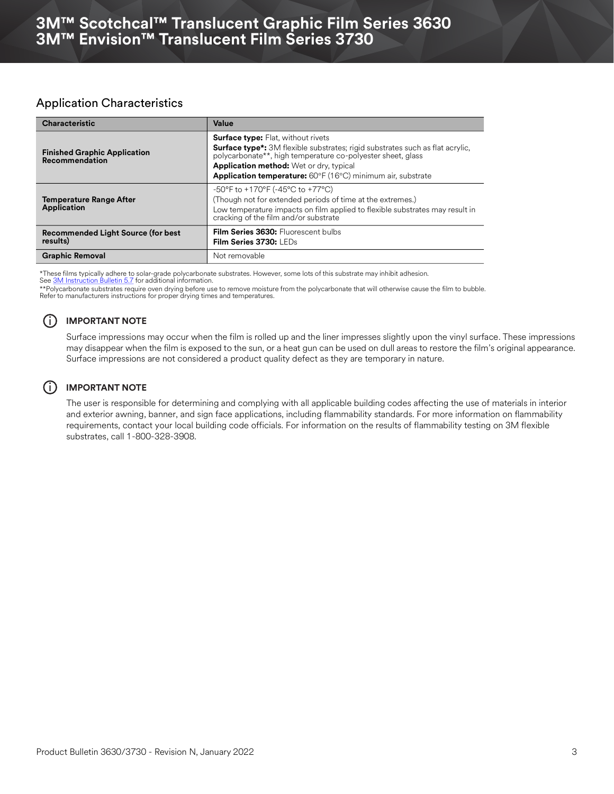#### Application Characteristics

| <b>Characteristic</b>                                        | Value                                                                                                                                                                                                                                                                                                             |
|--------------------------------------------------------------|-------------------------------------------------------------------------------------------------------------------------------------------------------------------------------------------------------------------------------------------------------------------------------------------------------------------|
| <b>Finished Graphic Application</b><br><b>Recommendation</b> | <b>Surface type:</b> Flat, without rivets<br><b>Surface type*:</b> 3M flexible substrates; rigid substrates such as flat acrylic,<br>polycarbonate**, high temperature co-polyester sheet, glass<br><b>Application method:</b> Wet or dry, typical<br>Application temperature: 60°F (16°C) minimum air, substrate |
| <b>Temperature Range After</b><br><b>Application</b>         | -50°F to +170°F (-45°C to +77°C)<br>(Though not for extended periods of time at the extremes.)<br>Low temperature impacts on film applied to flexible substrates may result in<br>cracking of the film and/or substrate                                                                                           |
| <b>Recommended Light Source (for best)</b><br>results)       | Film Series 3630: Fluorescent bulbs<br>Film Series $3730:$ IFDs                                                                                                                                                                                                                                                   |
| <b>Graphic Removal</b>                                       | Not removable                                                                                                                                                                                                                                                                                                     |

\*These films typically adhere to solar-grade polycarbonate substrates. However, some lots of this substrate may inhibit adhesion.

See [3M Instruction Bulletin 5.7](http://multimedia.3m.com/mws/media/9621O/instruction-bulletin-5-7.pdf) for additional information.

\*\*Polycarbonate substrates require oven drying before use to remove moisture from the polycarbonate that will otherwise cause the film to bubble. Refer to manufacturers instructions for proper drying times and temperatures.

#### i **IMPORTANT NOTE**

Surface impressions may occur when the film is rolled up and the liner impresses slightly upon the vinyl surface. These impressions may disappear when the film is exposed to the sun, or a heat gun can be used on dull areas to restore the film's original appearance. Surface impressions are not considered a product quality defect as they are temporary in nature.

#### i **IMPORTANT NOTE**

The user is responsible for determining and complying with all applicable building codes affecting the use of materials in interior and exterior awning, banner, and sign face applications, including flammability standards. For more information on flammability requirements, contact your local building code officials. For information on the results of flammability testing on 3M flexible substrates, call 1-800-328-3908.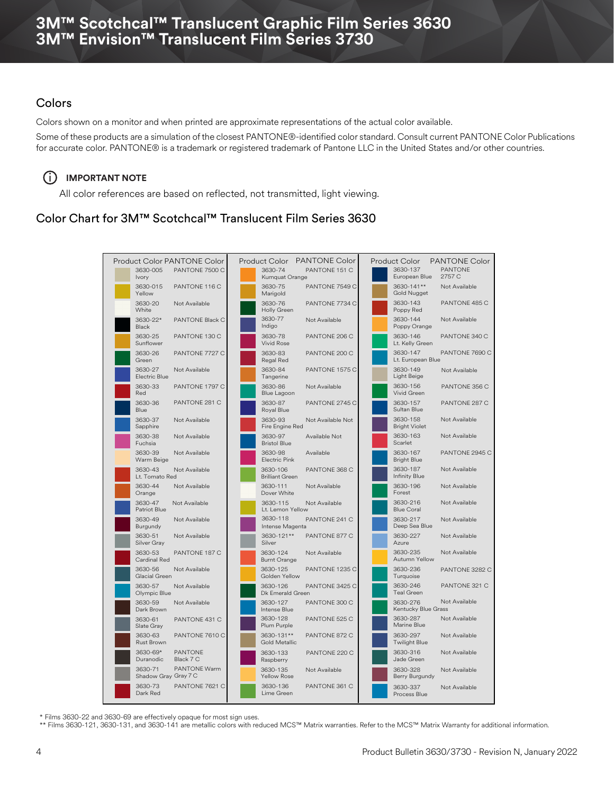#### <span id="page-3-0"></span>Colors

Colors shown on a monitor and when printed are approximate representations of the actual color available.

Some of these products are a simulation of the closest PANTONE®-identified color standard. Consult current PANTONE Color Publications for accurate color. PANTONE® is a trademark or registered trademark of Pantone LLC in the United States and/or other countries.

#### i **IMPORTANT NOTE**

All color references are based on reflected, not transmitted, light viewing.

### Color Chart for 3M™ Scotchcal™ Translucent Film Series 3630



\* Films 3630-22 and 3630-69 are effectively opaque for most sign uses.

\*\* Films 3630-121, 3630-131, and 3630-141 are metallic colors with reduced MCS™ Matrix warranties. Refer to the MCS™ Matrix Warranty for additional information.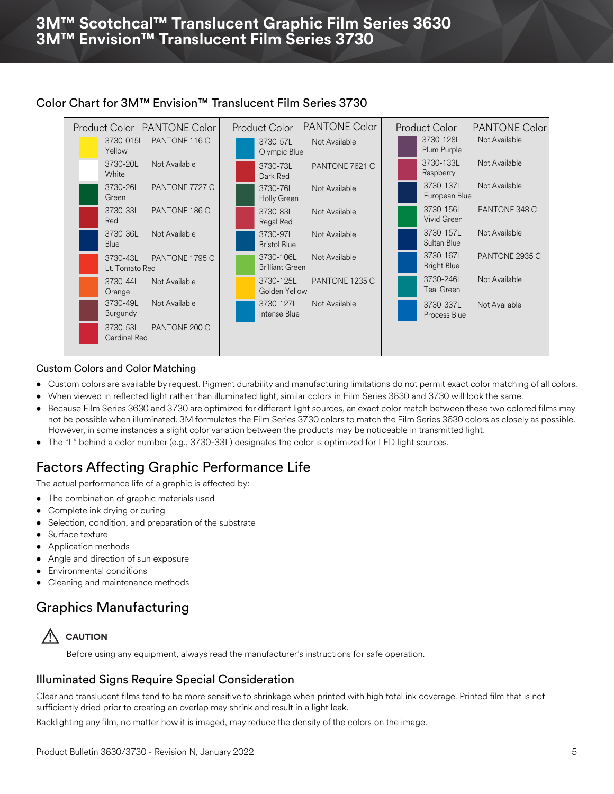# **3M™ Scotchcal™ Translucent Graphic Film Series 3630 3M™ Envision™ Translucent Film Series 3730**

#### Color Chart for 3M™ Envision™ Translucent Film Series 3730



#### Custom Colors and Color Matching

- Custom colors are available by request. Pigment durability and manufacturing limitations do not permit exact color matching of all colors.
- When viewed in reflected light rather than illuminated light, similar colors in Film Series 3630 and 3730 will look the same.
- Because Film Series 3630 and 3730 are optimized for different light sources, an exact color match between these two colored films may not be possible when illuminated. 3M formulates the Film Series 3730 colors to match the Film Series 3630 colors as closely as possible. However, in some instances a slight color variation between the products may be noticeable in transmitted light.
- The "L" behind a color number (e.g., 3730-33L) designates the color is optimized for LED light sources.

# Factors Affecting Graphic Performance Life

The actual performance life of a graphic is affected by:

- The combination of graphic materials used
- Complete ink drying or curing
- Selection, condition, and preparation of the substrate
- Surface texture
- Application methods
- Angle and direction of sun exposure
- Environmental conditions
- Cleaning and maintenance methods

# Graphics Manufacturing



Before using any equipment, always read the manufacturer's instructions for safe operation.

### Illuminated Signs Require Special Consideration

Clear and translucent films tend to be more sensitive to shrinkage when printed with high total ink coverage. Printed film that is not sufficiently dried prior to creating an overlap may shrink and result in a light leak.

Backlighting any film, no matter how it is imaged, may reduce the density of the colors on the image.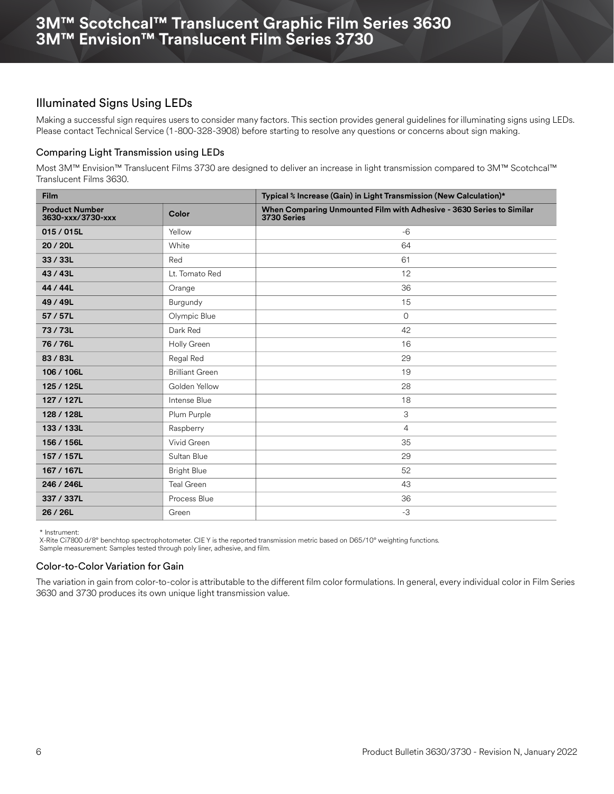#### Illuminated Signs Using LEDs

Making a successful sign requires users to consider many factors. This section provides general guidelines for illuminating signs using LEDs. Please contact Technical Service (1-800-328-3908) before starting to resolve any questions or concerns about sign making.

#### Comparing Light Transmission using LEDs

Most 3M™ Envision™ Translucent Films 3730 are designed to deliver an increase in light transmission compared to 3M™ Scotchcal™ Translucent Films 3630.

| Film                                       |                        | Typical % Increase (Gain) in Light Transmission (New Calculation)*                  |
|--------------------------------------------|------------------------|-------------------------------------------------------------------------------------|
| <b>Product Number</b><br>3630-xxx/3730-xxx | Color                  | When Comparing Unmounted Film with Adhesive - 3630 Series to Similar<br>3730 Series |
| 015 / 015L                                 | Yellow                 | $-6$                                                                                |
| 20 / 20L                                   | White                  | 64                                                                                  |
| 33 / 33L                                   | Red                    | 61                                                                                  |
| 43/43L                                     | Lt. Tomato Red         | 12                                                                                  |
| 44 / 44L                                   | Orange                 | 36                                                                                  |
| 49 / 49L                                   | Burgundy               | 15                                                                                  |
| 57/57L                                     | Olympic Blue           | $\circ$                                                                             |
| 73/73L                                     | Dark Red               | 42                                                                                  |
| 76/76L                                     | Holly Green            | 16                                                                                  |
| 83/83L                                     | Regal Red              | 29                                                                                  |
| 106 / 106L                                 | <b>Brilliant Green</b> | 19                                                                                  |
| 125 / 125L                                 | Golden Yellow          | 28                                                                                  |
| 127 / 127L                                 | Intense Blue           | 18                                                                                  |
| 128 / 128L                                 | Plum Purple            | 3                                                                                   |
| 133 / 133L                                 | Raspberry              | $\overline{4}$                                                                      |
| 156 / 156L                                 | Vivid Green            | 35                                                                                  |
| 157 / 157L                                 | Sultan Blue            | 29                                                                                  |
| 167 / 167L                                 | <b>Bright Blue</b>     | 52                                                                                  |
| 246 / 246L                                 | <b>Teal Green</b>      | 43                                                                                  |
| 337 / 337L                                 | Process Blue           | 36                                                                                  |
| 26 / 26L                                   | Green                  | $-3$                                                                                |

\* Instrument:

X-Rite Ci7800 d/8° benchtop spectrophotometer. CIE Y is the reported transmission metric based on D65/10° weighting functions. Sample measurement: Samples tested through poly liner, adhesive, and film.

#### Color-to-Color Variation for Gain

The variation in gain from color-to-color is attributable to the different film color formulations. In general, every individual color in Film Series 3630 and 3730 produces its own unique light transmission value.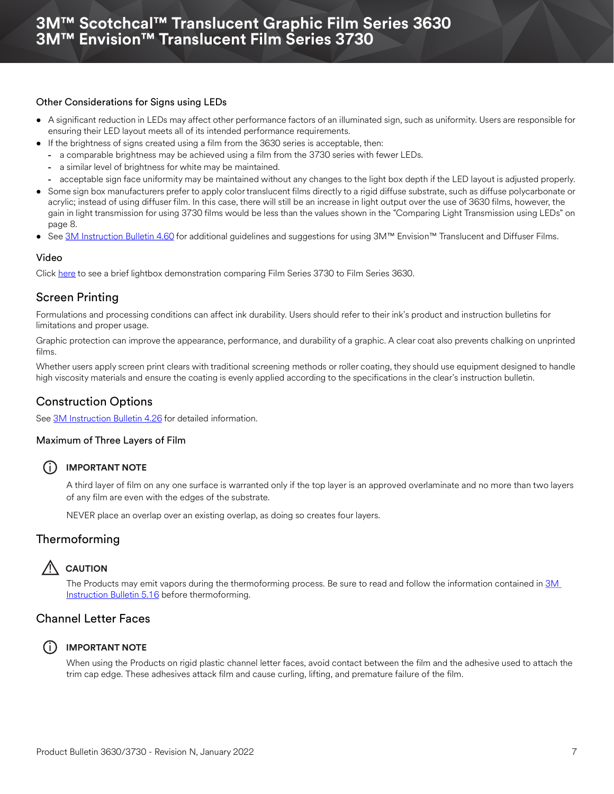#### Other Considerations for Signs using LEDs

- A significant reduction in LEDs may affect other performance factors of an illuminated sign, such as uniformity. Users are responsible for ensuring their LED layout meets all of its intended performance requirements.
- If the brightness of signs created using a film from the 3630 series is acceptable, then:
- **-** a comparable brightness may be achieved using a film from the 3730 series with fewer LEDs.
- **-** a similar level of brightness for white may be maintained.
- **-** acceptable sign face uniformity may be maintained without any changes to the light box depth if the LED layout is adjusted properly.
- Some sign box manufacturers prefer to apply color translucent films directly to a rigid diffuse substrate, such as diffuse polycarbonate or acrylic; instead of using diffuser film. In this case, there will still be an increase in light output over the use of 3630 films, however, the gain in light transmission for using 3730 films would be less than the values shown in the "Comparing Light Transmission using LEDs" on page 8.
- See [3M Instruction Bulletin 4.60](http://multimedia.3m.com/mws/media/878227O/ib-4-60-envision-translucent-and-diffuser-films.pdf) for additional guidelines and suggestions for using 3M™ Envision™ Translucent and Diffuser Films.

#### Video

Click[here](https://www.youtube.com/watch?v=kpINZ_-AFD0) to see a brief lightbox demonstration comparing Film Series 3730 to Film Series 3630.

#### Screen Printing

Formulations and processing conditions can affect ink durability. Users should refer to their ink's product and instruction bulletins for limitations and proper usage.

Graphic protection can improve the appearance, performance, and durability of a graphic. A clear coat also prevents chalking on unprinted films.

Whether users apply screen print clears with traditional screening methods or roller coating, they should use equipment designed to handle high viscosity materials and ensure the coating is evenly applied according to the specifications in the clear's instruction bulletin.

### Construction Options

See [3M Instruction Bulletin 4.26](http://multimedia.3m.com/mws/media/49875O/4-26-making-backlit-sign-faces-all-imaging-methods.pdf?&COrrrrQ-) for detailed information.

#### Maximum of Three Layers of Film

#### i **IMPORTANT NOTE**

A third layer of film on any one surface is warranted only if the top layer is an approved overlaminate and no more than two layers of any film are even with the edges of the substrate.

NEVER place an overlap over an existing overlap, as doing so creates four layers.

#### Thermoforming

# ! **CAUTION**

The Products may emit vapors during the thermoforming process. Be sure to read and follow the information contained in 3M [Instruction Bulletin 5.16](http://multimedia.3m.com/mws/media/9622O/5-16-thermoforming.pdf) before thermoforming.

#### Channel Letter Faces



#### $(i)$  **IMPORTANT NOTE**

When using the Products on rigid plastic channel letter faces, avoid contact between the film and the adhesive used to attach the trim cap edge. These adhesives attack film and cause curling, lifting, and premature failure of the film.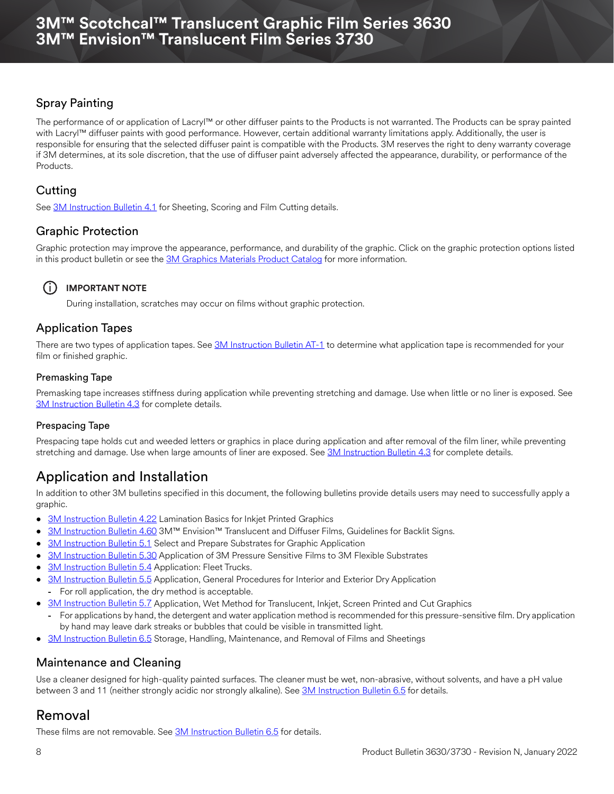### Spray Painting

The performance of or application of Lacryl™ or other diffuser paints to the Products is not warranted. The Products can be spray painted with Lacryl™ diffuser paints with good performance. However, certain additional warranty limitations apply. Additionally, the user is responsible for ensuring that the selected diffuser paint is compatible with the Products. 3M reserves the right to deny warranty coverage if 3M determines, at its sole discretion, that the use of diffuser paint adversely affected the appearance, durability, or performance of the Products.

## **Cutting**

See [3M Instruction Bulletin 4.1](http://multimedia.3m.com/mws/media/12586O/4-1-scoring-and-cutting.pdf) for Sheeting, Scoring and Film Cutting details.

## Graphic Protection

Graphic protection may improve the appearance, performance, and durability of the graphic. Click on the graphic protection options listed in this product bulletin or see the [3M Graphics Materials Product Catalog](http://multimedia.3m.com/mws/media/443279O/inkjet-catalog-lowres.pdf) for more information.



 $(i)$  **IMPORTANT NOTE** 

During installation, scratches may occur on films without graphic protection.

### Application Tapes

There are two types of application tapes. See [3M Instruction Bulletin AT-1](http://multimedia.3m.com/mws/media/1032943O/instruction-bulletin-at-1-application-tables.pdf) to determine what application tape is recommended for your film or finished graphic.

#### Premasking Tape

Premasking tape increases stiffness during application while preventing stretching and damage. Use when little or no liner is exposed. See [3M Instruction Bulletin 4.3](http://multimedia.3m.com/mws/media/12587O/4-3-application-tapes-premasking-and-prespacing.pdf) for complete details.

#### Prespacing Tape

Prespacing tape holds cut and weeded letters or graphics in place during application and after removal of the film liner, while preventing stretching and damage. Use when large amounts of liner are exposed. See [3M Instruction Bulletin 4.3](http://multimedia.3m.com/mws/media/12587O/4-3-application-tapes-premasking-and-prespacing.pdf) for complete details.

# Application and Installation

In addition to other 3M bulletins specified in this document, the following bulletins provide details users may need to successfully apply a graphic.

- [3M Instruction Bulletin 4.22](http://multimedia.3m.com/mws/media/12768O/4-22-lamination-cold-roll.pdf) Lamination Basics for Inkjet Printed Graphics
- [3M Instruction Bulletin 4.60](http://multimedia.3m.com/mws/media/878227O/ib-4-60-envision-translucent-and-diffuser-films.pdf) 3M™ Envision™ Translucent and Diffuser Films, Guidelines for Backlit Signs.
- [3M Instruction Bulletin 5.1](http://multimedia.3m.com/mws/media/12595O/5-1-substrate-selection-preparation-and-application-techniques.pdf) Select and Prepare Substrates for Graphic Application
- [3M Instruction Bulletin 5.30](http://multimedia.3m.com/mws/media/154955O/5-30-apply-pressure-sensitive-film-to-panagraphics-substrate.pdf) Application of 3M Pressure Sensitive Films to 3M Flexible Substrates
- [3M Instruction Bulletin 5.4](http://multimedia.3m.com/mws/media/12597O/5-4-application-of-film-to-vehicles-special-applications.pdf) Application: Fleet Trucks.
- [3M Instruction Bulletin 5.5](http://multimedia.3m.com/mws/media/9620O/5-5-application-dry-method.pdf) Application, General Procedures for Interior and Exterior Dry Application **-** For roll application, the dry method is acceptable.
- [3M Instruction Bulletin 5.7](http://multimedia.3m.com/mws/media/9621O/instruction-bulletin-5-7.pdf) Application, Wet Method for Translucent, Inkjet, Screen Printed and Cut Graphics
	- **-** For applications by hand, the detergent and water application method is recommended for this pressure-sensitive film. Dry application by hand may leave dark streaks or bubbles that could be visible in transmitted light.
- [3M Instruction Bulletin 6.5](http://multimedia.3m.com/mws/media/12593O/6-5-storage-handling-maintenance-removal-of-films-sheetings.pdf) Storage, Handling, Maintenance, and Removal of Films and Sheetings

### Maintenance and Cleaning

Use a cleaner designed for high-quality painted surfaces. The cleaner must be wet, non-abrasive, without solvents, and have a pH value between 3 and 11 (neither strongly acidic nor strongly alkaline). See [3M Instruction Bulletin 6.5](http://multimedia.3m.com/mws/media/12593O/6-5-storage-handling-maintenance-removal-of-films-sheetings.pdf) for details.

# Removal

These films are not removable. See **3M Instruction Bulletin 6.5** for details.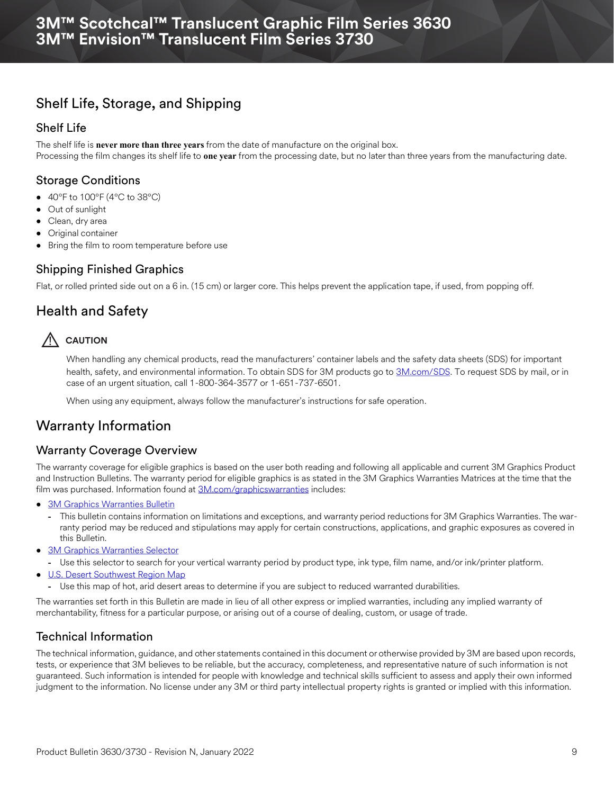# Shelf Life, Storage, and Shipping

### Shelf Life

The shelf life is **never more than three years** from the date of manufacture on the original box.

Processing the film changes its shelf life to **one year** from the processing date, but no later than three years from the manufacturing date.

### Storage Conditions

- $\bullet$  40°F to 100°F (4°C to 38°C)
- Out of sunlight
- Clean, dry area
- Original container
- Bring the film to room temperature before use

### Shipping Finished Graphics

Flat, or rolled printed side out on a 6 in. (15 cm) or larger core. This helps prevent the application tape, if used, from popping off.

# Health and Safety

# **AUTION**

When handling any chemical products, read the manufacturers' container labels and the safety data sheets (SDS) for important health, safety, and environmental information. To obtain SDS for 3M products go to [3M.com/SDS](http://www.3m.com/SDS). To request SDS by mail, or in case of an urgent situation, call 1-800-364-3577 or 1-651-737-6501.

When using any equipment, always follow the manufacturer's instructions for safe operation.

# Warranty Information

### Warranty Coverage Overview

The warranty coverage for eligible graphics is based on the user both reading and following all applicable and current 3M Graphics Product and Instruction Bulletins. The warranty period for eligible graphics is as stated in the 3M Graphics Warranties Matrices at the time that the film was purchased. Information found at [3M.com/graphicswarranties](www.3m.com/graphicswarranties) includes:

- [3M Graphics Warranties Bulletin](http://multimedia.3m.com/mws/media/1034875O/3mtm-graphics-warranty-bulletin.pdf?fn=Warranty_Bulletin.pdf)
	- **-** This bulletin contains information on limitations and exceptions, and warranty period reductions for 3M Graphics Warranties. The warranty period may be reduced and stipulations may apply for certain constructions, applications, and graphic exposures as covered in this Bulletin.
- [3M Graphics Warranties Selector](http://solutions.3m.com/wps/portal/3M/en_US/Graphics/3Mgraphics/ToolsAndSupport/Warranties/?PC_Z7_RJH9U5230GE3E02LECFTDQ02P3000000_assetType=MMM_Article&PC_Z7_RJH9U5230GE3E02LECFTDQ02P3000000_assetId=1114269959113&PC_Z7_RJH9U5230GE3E02LECFTDQ02P3000000_univid=1114269959113#Z7_RJH9U5230GE3E02LECFTDQ02P3)
	- **-** Use this selector to search for your vertical warranty period by product type, ink type, film name, and/or ink/printer platform.
- [U.S. Desert Southwest Region Map](http://multimedia.3m.com/mws/media/307873O/desert-southwest-region-defined.pdf?fn=Map_DSW.pdf)
	- **-** Use this map of hot, arid desert areas to determine if you are subject to reduced warranted durabilities.

The warranties set forth in this Bulletin are made in lieu of all other express or implied warranties, including any implied warranty of merchantability, fitness for a particular purpose, or arising out of a course of dealing, custom, or usage of trade.

## Technical Information

The technical information, guidance, and other statements contained in this document or otherwise provided by 3M are based upon records, tests, or experience that 3M believes to be reliable, but the accuracy, completeness, and representative nature of such information is not guaranteed. Such information is intended for people with knowledge and technical skills sufficient to assess and apply their own informed judgment to the information. No license under any 3M or third party intellectual property rights is granted or implied with this information.